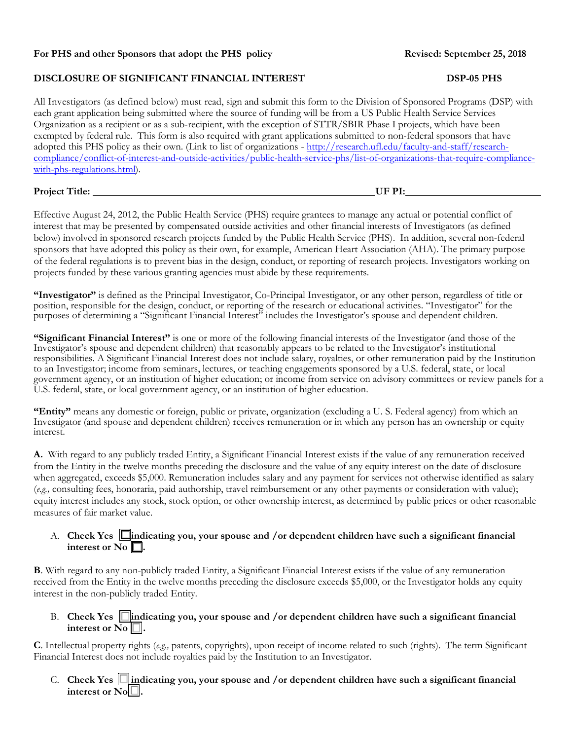# **For PHS and other Sponsors that adopt the PHS policy Revised: September 25, 2018**

#### **DISCLOSURE OF SIGNIFICANT FINANCIAL INTEREST DSP-05 PHS**

All Investigators (as defined below) must read, sign and submit this form to the Division of Sponsored Programs (DSP) with each grant application being submitted where the source of funding will be from a US Public Health Service Services Organization as a recipient or as a sub-recipient, with the exception of STTR/SBIR Phase I projects, which have been exempted by federal rule. This form is also required with grant applications submitted to non-federal sponsors that have adopted this PHS policy as their own. (Link to list of organizations - [http://research.ufl.edu/faculty-and-staff/research](http://research.ufl.edu/faculty-and-staff/research-compliance/conflict-of-interest-and-outside-activities/public-health-service-phs/list-of-organizations-that-require-compliance-with-phs-regulations.html)[compliance/conflict-of-interest-and-outside-activities/public-health-service-phs/list-of-organizations-that-require-compliance](http://research.ufl.edu/faculty-and-staff/research-compliance/conflict-of-interest-and-outside-activities/public-health-service-phs/list-of-organizations-that-require-compliance-with-phs-regulations.html)[with-phs-regulations.html\)](http://research.ufl.edu/faculty-and-staff/research-compliance/conflict-of-interest-and-outside-activities/public-health-service-phs/list-of-organizations-that-require-compliance-with-phs-regulations.html).

### **Project Title: UF PI:**

Effective August 24, 2012, the Public Health Service (PHS) require grantees to manage any actual or potential conflict of interest that may be presented by compensated outside activities and other financial interests of Investigators (as defined below) involved in sponsored research projects funded by the Public Health Service (PHS). In addition, several non-federal sponsors that have adopted this policy as their own, for example, American Heart Association (AHA). The primary purpose of the federal regulations is to prevent bias in the design, conduct, or reporting of research projects. Investigators working on projects funded by these various granting agencies must abide by these requirements.

**"Investigator"** is defined as the Principal Investigator, Co-Principal Investigator, or any other person, regardless of title or position, responsible for the design, conduct, or reporting of the research or educational activities. "Investigator" for the purposes of determining a "Significant Financial Interest" includes the Investigator's spouse and dependent children.

**"Significant Financial Interest"** is one or more of the following financial interests of the Investigator (and those of the Investigator's spouse and dependent children) that reasonably appears to be related to the Investigator's institutional responsibilities. A Significant Financial Interest does not include salary, royalties, or other remuneration paid by the Institution to an Investigator; income from seminars, lectures, or teaching engagements sponsored by a U.S. federal, state, or local government agency, or an institution of higher education; or income from service on advisory committees or review panels for a U.S. federal, state, or local government agency, or an institution of higher education.

**"Entity"** means any domestic or foreign, public or private, organization (excluding a U. S. Federal agency) from which an Investigator (and spouse and dependent children) receives remuneration or in which any person has an ownership or equity interest.

**A.** With regard to any publicly traded Entity, a Significant Financial Interest exists if the value of any remuneration received from the Entity in the twelve months preceding the disclosure and the value of any equity interest on the date of disclosure when aggregated, exceeds \$5,000. Remuneration includes salary and any payment for services not otherwise identified as salary (*e.g.,* consulting fees, honoraria, paid authorship, travel reimbursement or any other payments or consideration with value); equity interest includes any stock, stock option, or other ownership interest, as determined by public prices or other reasonable measures of fair market value.

#### A. Check Yes **indicating you, your spouse and /or dependent children have such a significant financial** interest or No  $\Box$ .

**B**. With regard to any non-publicly traded Entity, a Significant Financial Interest exists if the value of any remuneration received from the Entity in the twelve months preceding the disclosure exceeds \$5,000, or the Investigator holds any equity interest in the non-publicly traded Entity.

B. Check Yes **indicating you, your spouse and /or dependent children have such a significant financial** interest or  $N_0$   $\Box$ .

**C**. Intellectual property rights (*e.g.,* patents, copyrights), upon receipt of income related to such (rights). The term Significant Financial Interest does not include royalties paid by the Institution to an Investigator.

C. **Check Yes indicating you, your spouse and /or dependent children have such a significant financial**  interest or  $N_0$ .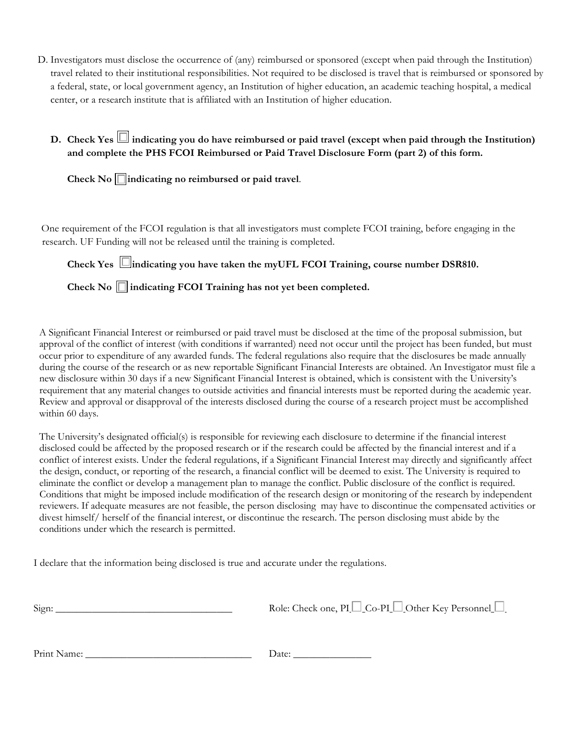- D. Investigators must disclose the occurrence of (any) reimbursed or sponsored (except when paid through the Institution) travel related to their institutional responsibilities. Not required to be disclosed is travel that is reimbursed or sponsored by a federal, state, or local government agency, an Institution of higher education, an academic teaching hospital, a medical center, or a research institute that is affiliated with an Institution of higher education.
	- **D.** Check Yes  $\Box$  indicating you do have reimbursed or paid travel (except when paid through the Institution) **and complete the PHS FCOI Reimbursed or Paid Travel Disclosure Form (part 2) of this form.**

**Check No indicating no reimbursed or paid travel**.

 One requirement of the FCOI regulation is that all investigators must complete FCOI training, before engaging in the research. UF Funding will not be released until the training is completed.

**Check Yes indicating you have taken the myUFL FCOI Training, course number DSR810.**

**Check No indicating FCOI Training has not yet been completed.**

A Significant Financial Interest or reimbursed or paid travel must be disclosed at the time of the proposal submission, but approval of the conflict of interest (with conditions if warranted) need not occur until the project has been funded, but must occur prior to expenditure of any awarded funds. The federal regulations also require that the disclosures be made annually during the course of the research or as new reportable Significant Financial Interests are obtained. An Investigator must file a new disclosure within 30 days if a new Significant Financial Interest is obtained, which is consistent with the University's requirement that any material changes to outside activities and financial interests must be reported during the academic year. Review and approval or disapproval of the interests disclosed during the course of a research project must be accomplished within 60 days.

The University's designated official(s) is responsible for reviewing each disclosure to determine if the financial interest disclosed could be affected by the proposed research or if the research could be affected by the financial interest and if a conflict of interest exists. Under the federal regulations, if a Significant Financial Interest may directly and significantly affect the design, conduct, or reporting of the research, a financial conflict will be deemed to exist. The University is required to eliminate the conflict or develop a management plan to manage the conflict. Public disclosure of the conflict is required. Conditions that might be imposed include modification of the research design or monitoring of the research by independent reviewers. If adequate measures are not feasible, the person disclosing may have to discontinue the compensated activities or divest himself/ herself of the financial interest, or discontinue the research. The person disclosing must abide by the conditions under which the research is permitted.

I declare that the information being disclosed is true and accurate under the regulations.

| Sign: | Role: Check one, PI $\Box$ Co-PI $\Box$ Other Key Personnel $\Box$ |
|-------|--------------------------------------------------------------------|
|       |                                                                    |

Print Name: